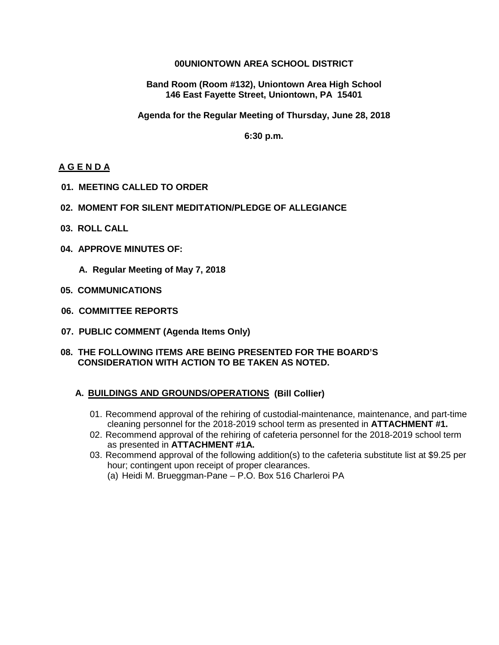### **00UNIONTOWN AREA SCHOOL DISTRICT**

**Band Room (Room #132), Uniontown Area High School 146 East Fayette Street, Uniontown, PA 15401**

**Agenda for the Regular Meeting of Thursday, June 28, 2018**

**6:30 p.m.**

### **A G E N D A**

- **01. MEETING CALLED TO ORDER**
- **02. MOMENT FOR SILENT MEDITATION/PLEDGE OF ALLEGIANCE**
- **03. ROLL CALL**
- **04. APPROVE MINUTES OF:**

 **A. Regular Meeting of May 7, 2018**

- **05. COMMUNICATIONS**
- **06. COMMITTEE REPORTS**
- **07. PUBLIC COMMENT (Agenda Items Only)**

#### **08. THE FOLLOWING ITEMS ARE BEING PRESENTED FOR THE BOARD'S CONSIDERATION WITH ACTION TO BE TAKEN AS NOTED.**

### **A. BUILDINGS AND GROUNDS/OPERATIONS (Bill Collier)**

- 01. Recommend approval of the rehiring of custodial-maintenance, maintenance, and part-time cleaning personnel for the 2018-2019 school term as presented in **ATTACHMENT #1.**
- 02. Recommend approval of the rehiring of cafeteria personnel for the 2018-2019 school term as presented in **ATTACHMENT #1A.**
- 03. Recommend approval of the following addition(s) to the cafeteria substitute list at \$9.25 per hour; contingent upon receipt of proper clearances.
	- (a) Heidi M. Brueggman-Pane P.O. Box 516 Charleroi PA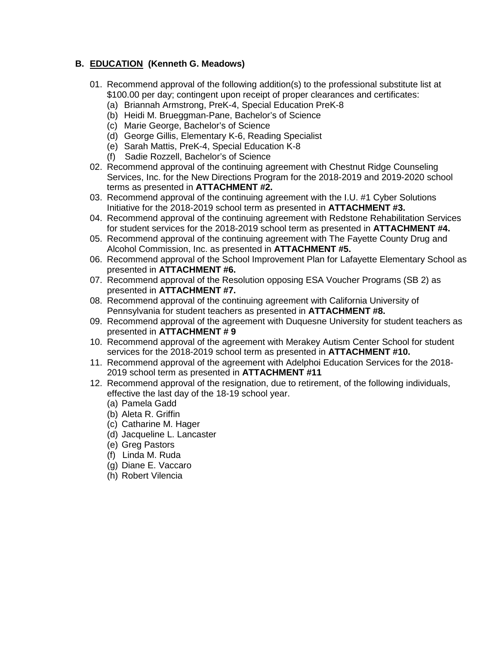## **B. EDUCATION (Kenneth G. Meadows)**

- 01. Recommend approval of the following addition(s) to the professional substitute list at \$100.00 per day; contingent upon receipt of proper clearances and certificates:
	- (a) Briannah Armstrong, PreK-4, Special Education PreK-8
	- (b) Heidi M. Brueggman-Pane, Bachelor's of Science
	- (c) Marie George, Bachelor's of Science
	- (d) George Gillis, Elementary K-6, Reading Specialist
	- (e) Sarah Mattis, PreK-4, Special Education K-8
	- (f) Sadie Rozzell, Bachelor's of Science
- 02. Recommend approval of the continuing agreement with Chestnut Ridge Counseling Services, Inc. for the New Directions Program for the 2018-2019 and 2019-2020 school terms as presented in **ATTACHMENT #2.**
- 03. Recommend approval of the continuing agreement with the I.U. #1 Cyber Solutions Initiative for the 2018-2019 school term as presented in **ATTACHMENT #3.**
- 04. Recommend approval of the continuing agreement with Redstone Rehabilitation Services for student services for the 2018-2019 school term as presented in **ATTACHMENT #4.**
- 05. Recommend approval of the continuing agreement with The Fayette County Drug and Alcohol Commission, Inc. as presented in **ATTACHMENT #5.**
- 06. Recommend approval of the School Improvement Plan for Lafayette Elementary School as presented in **ATTACHMENT #6.**
- 07. Recommend approval of the Resolution opposing ESA Voucher Programs (SB 2) as presented in **ATTACHMENT #7.**
- 08. Recommend approval of the continuing agreement with California University of Pennsylvania for student teachers as presented in **ATTACHMENT #8.**
- 09. Recommend approval of the agreement with Duquesne University for student teachers as presented in **ATTACHMENT # 9**
- 10. Recommend approval of the agreement with Merakey Autism Center School for student services for the 2018-2019 school term as presented in **ATTACHMENT #10.**
- 11. Recommend approval of the agreement with Adelphoi Education Services for the 2018- 2019 school term as presented in **ATTACHMENT #11**
- 12. Recommend approval of the resignation, due to retirement, of the following individuals, effective the last day of the 18-19 school year.
	- (a) Pamela Gadd
	- (b) Aleta R. Griffin
	- (c) Catharine M. Hager
	- (d) Jacqueline L. Lancaster
	- (e) Greg Pastors
	- (f) Linda M. Ruda
	- (g) Diane E. Vaccaro
	- (h) Robert Vilencia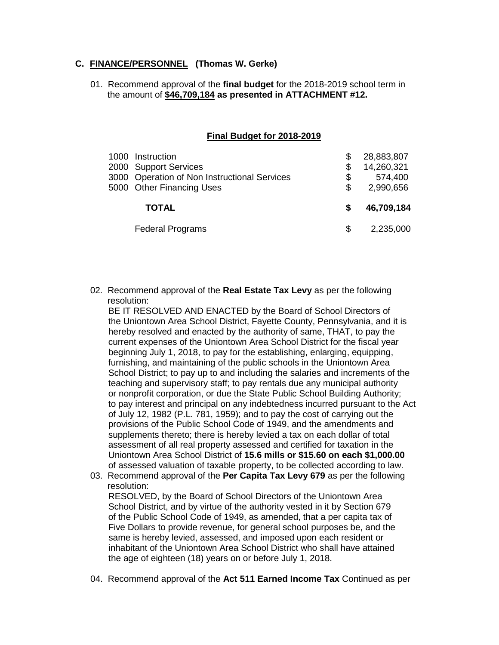### **C. FINANCE/PERSONNEL (Thomas W. Gerke)**

01. Recommend approval of the **final budget** for the 2018-2019 school term in the amount of **\$46,709,184 as presented in ATTACHMENT #12.**

#### **Final Budget for 2018-2019**

| 1000 | Instruction<br>2000 Support Services<br>3000 Operation of Non Instructional Services<br>5000 Other Financing Uses | S<br>\$. | 28,883,807<br>14,260,321<br>574,400<br>2,990,656 |
|------|-------------------------------------------------------------------------------------------------------------------|----------|--------------------------------------------------|
|      | <b>TOTAL</b>                                                                                                      |          | 46,709,184                                       |
|      | <b>Federal Programs</b>                                                                                           |          | 2,235,000                                        |

02. Recommend approval of the **Real Estate Tax Levy** as per the following resolution:

 BE IT RESOLVED AND ENACTED by the Board of School Directors of the Uniontown Area School District, Fayette County, Pennsylvania, and it is hereby resolved and enacted by the authority of same, THAT, to pay the current expenses of the Uniontown Area School District for the fiscal year beginning July 1, 2018, to pay for the establishing, enlarging, equipping, furnishing, and maintaining of the public schools in the Uniontown Area School District; to pay up to and including the salaries and increments of the teaching and supervisory staff; to pay rentals due any municipal authority or nonprofit corporation, or due the State Public School Building Authority; to pay interest and principal on any indebtedness incurred pursuant to the Act of July 12, 1982 (P.L. 781, 1959); and to pay the cost of carrying out the provisions of the Public School Code of 1949, and the amendments and supplements thereto; there is hereby levied a tax on each dollar of total assessment of all real property assessed and certified for taxation in the Uniontown Area School District of **15.6 mills or \$15.60 on each \$1,000.00** of assessed valuation of taxable property, to be collected according to law.

- 03. Recommend approval of the **Per Capita Tax Levy 679** as per the following resolution: RESOLVED, by the Board of School Directors of the Uniontown Area School District, and by virtue of the authority vested in it by Section 679 of the Public School Code of 1949, as amended, that a per capita tax of Five Dollars to provide revenue, for general school purposes be, and the same is hereby levied, assessed, and imposed upon each resident or inhabitant of the Uniontown Area School District who shall have attained the age of eighteen (18) years on or before July 1, 2018.
- 04. Recommend approval of the **Act 511 Earned Income Tax** Continued as per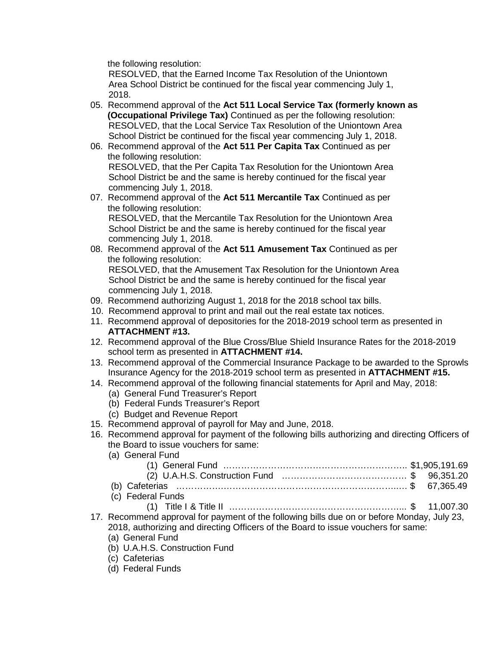the following resolution:

 RESOLVED, that the Earned Income Tax Resolution of the Uniontown Area School District be continued for the fiscal year commencing July 1, 2018.

- 05. Recommend approval of the **Act 511 Local Service Tax (formerly known as (Occupational Privilege Tax)** Continued as per the following resolution: RESOLVED, that the Local Service Tax Resolution of the Uniontown Area School District be continued for the fiscal year commencing July 1, 2018.
- 06. Recommend approval of the **Act 511 Per Capita Tax** Continued as per the following resolution: RESOLVED, that the Per Capita Tax Resolution for the Uniontown Area School District be and the same is hereby continued for the fiscal year commencing July 1, 2018.
- 07. Recommend approval of the **Act 511 Mercantile Tax** Continued as per the following resolution: RESOLVED, that the Mercantile Tax Resolution for the Uniontown Area School District be and the same is hereby continued for the fiscal year commencing July 1, 2018.
- 08. Recommend approval of the **Act 511 Amusement Tax** Continued as per the following resolution: RESOLVED, that the Amusement Tax Resolution for the Uniontown Area School District be and the same is hereby continued for the fiscal year
- commencing July 1, 2018. 09. Recommend authorizing August 1, 2018 for the 2018 school tax bills.
- 10. Recommend approval to print and mail out the real estate tax notices.
- 11. Recommend approval of depositories for the 2018-2019 school term as presented in **ATTACHMENT #13.**
- 12. Recommend approval of the Blue Cross/Blue Shield Insurance Rates for the 2018-2019 school term as presented in **ATTACHMENT #14.**
- 13. Recommend approval of the Commercial Insurance Package to be awarded to the Sprowls Insurance Agency for the 2018-2019 school term as presented in **ATTACHMENT #15.**
- 14. Recommend approval of the following financial statements for April and May, 2018:
	- (a) General Fund Treasurer's Report
	- (b) Federal Funds Treasurer's Report
	- (c) Budget and Revenue Report
- 15. Recommend approval of payroll for May and June, 2018.
- 16. Recommend approval for payment of the following bills authorizing and directing Officers of the Board to issue vouchers for same:
	- (a) General Fund

| sfatariaa |  | $P = 27.255 A$ |
|-----------|--|----------------|

- (b) Cafeterias …………….…………………………………………………..… \$ 67,365.49
- (c) Federal Funds (1) Title I & Title II …………………………………………………... \$ 11,007.30
- 17. Recommend approval for payment of the following bills due on or before Monday, July 23, 2018, authorizing and directing Officers of the Board to issue vouchers for same: (a) General Fund
	- (b) U.A.H.S. Construction Fund
	- (c) Cafeterias
	- (d) Federal Funds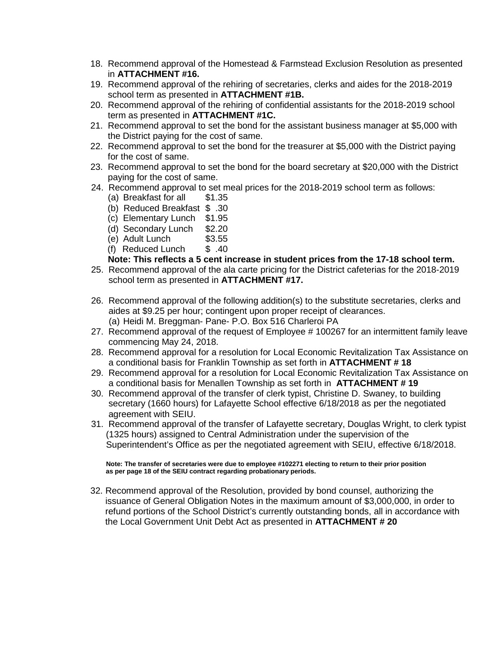- 18. Recommend approval of the Homestead & Farmstead Exclusion Resolution as presented in **ATTACHMENT #16.**
- 19. Recommend approval of the rehiring of secretaries, clerks and aides for the 2018-2019 school term as presented in **ATTACHMENT #1B.**
- 20. Recommend approval of the rehiring of confidential assistants for the 2018-2019 school term as presented in **ATTACHMENT #1C.**
- 21. Recommend approval to set the bond for the assistant business manager at \$5,000 with the District paying for the cost of same.
- 22. Recommend approval to set the bond for the treasurer at \$5,000 with the District paying for the cost of same.
- 23. Recommend approval to set the bond for the board secretary at \$20,000 with the District paying for the cost of same.
- 24. Recommend approval to set meal prices for the 2018-2019 school term as follows:
	- (a) Breakfast for all \$1.35
	- (b) Reduced Breakfast \$ .30
	- (c) Elementary Lunch \$1.95
	- (d) Secondary Lunch \$2.20
	- (e) Adult Lunch \$3.55
	- (f) Reduced Lunch \$ .40

### **Note: This reflects a 5 cent increase in student prices from the 17-18 school term.**

- 25. Recommend approval of the ala carte pricing for the District cafeterias for the 2018-2019 school term as presented in **ATTACHMENT #17.**
- 26. Recommend approval of the following addition(s) to the substitute secretaries, clerks and aides at \$9.25 per hour; contingent upon proper receipt of clearances. (a) Heidi M. Breggman- Pane- P.O. Box 516 Charleroi PA
- 27. Recommend approval of the request of Employee # 100267 for an intermittent family leave commencing May 24, 2018.
- 28. Recommend approval for a resolution for Local Economic Revitalization Tax Assistance on a conditional basis for Franklin Township as set forth in **ATTACHMENT # 18**
- 29. Recommend approval for a resolution for Local Economic Revitalization Tax Assistance on a conditional basis for Menallen Township as set forth in **ATTACHMENT # 19**
- 30. Recommend approval of the transfer of clerk typist, Christine D. Swaney, to building secretary (1660 hours) for Lafayette School effective 6/18/2018 as per the negotiated agreement with SEIU.
- 31. Recommend approval of the transfer of Lafayette secretary, Douglas Wright, to clerk typist (1325 hours) assigned to Central Administration under the supervision of the Superintendent's Office as per the negotiated agreement with SEIU, effective 6/18/2018.

 **Note: The transfer of secretaries were due to employee #102271 electing to return to their prior position as per page 18 of the SEIU contract regarding probationary periods.**

 32. Recommend approval of the Resolution, provided by bond counsel, authorizing the issuance of General Obligation Notes in the maximum amount of \$3,000,000, in order to refund portions of the School District's currently outstanding bonds, all in accordance with the Local Government Unit Debt Act as presented in **ATTACHMENT # 20**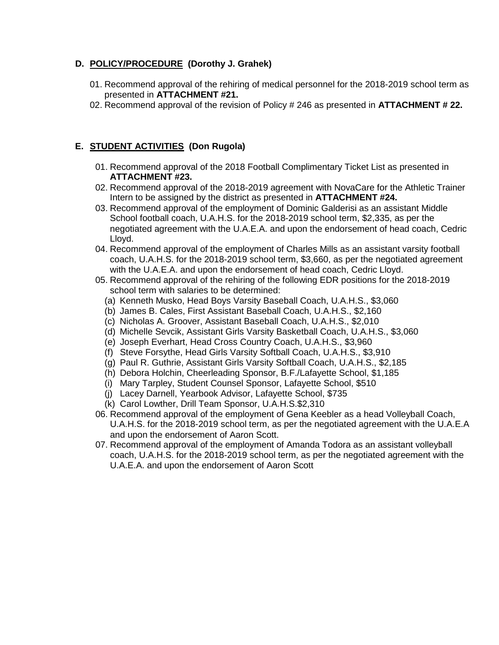# **D. POLICY/PROCEDURE (Dorothy J. Grahek)**

- 01. Recommend approval of the rehiring of medical personnel for the 2018-2019 school term as presented in **ATTACHMENT #21.**
- 02. Recommend approval of the revision of Policy # 246 as presented in **ATTACHMENT # 22.**

# **E. STUDENT ACTIVITIES (Don Rugola)**

- 01. Recommend approval of the 2018 Football Complimentary Ticket List as presented in **ATTACHMENT #23.**
- 02. Recommend approval of the 2018-2019 agreement with NovaCare for the Athletic Trainer Intern to be assigned by the district as presented in **ATTACHMENT #24.**
- 03. Recommend approval of the employment of Dominic Galderisi as an assistant Middle School football coach, U.A.H.S. for the 2018-2019 school term, \$2,335, as per the negotiated agreement with the U.A.E.A. and upon the endorsement of head coach, Cedric Lloyd.
- 04. Recommend approval of the employment of Charles Mills as an assistant varsity football coach, U.A.H.S. for the 2018-2019 school term, \$3,660, as per the negotiated agreement with the U.A.E.A. and upon the endorsement of head coach, Cedric Lloyd.
- 05. Recommend approval of the rehiring of the following EDR positions for the 2018-2019 school term with salaries to be determined:
	- (a) Kenneth Musko, Head Boys Varsity Baseball Coach, U.A.H.S., \$3,060
	- (b) James B. Cales, First Assistant Baseball Coach, U.A.H.S., \$2,160
	- (c) Nicholas A. Groover, Assistant Baseball Coach, U.A.H.S., \$2,010
	- (d) Michelle Sevcik, Assistant Girls Varsity Basketball Coach, U.A.H.S., \$3,060
	- (e) Joseph Everhart, Head Cross Country Coach, U.A.H.S., \$3,960
	- (f) Steve Forsythe, Head Girls Varsity Softball Coach, U.A.H.S., \$3,910
	- (g) Paul R. Guthrie, Assistant Girls Varsity Softball Coach, U.A.H.S., \$2,185
	- (h) Debora Holchin, Cheerleading Sponsor, B.F./Lafayette School, \$1,185
	- (i) Mary Tarpley, Student Counsel Sponsor, Lafayette School, \$510
	- (j) Lacey Darnell, Yearbook Advisor, Lafayette School, \$735
	- (k) Carol Lowther, Drill Team Sponsor, U.A.H.S.\$2,310
- 06. Recommend approval of the employment of Gena Keebler as a head Volleyball Coach, U.A.H.S. for the 2018-2019 school term, as per the negotiated agreement with the U.A.E.A and upon the endorsement of Aaron Scott.
- 07. Recommend approval of the employment of Amanda Todora as an assistant volleyball coach, U.A.H.S. for the 2018-2019 school term, as per the negotiated agreement with the U.A.E.A. and upon the endorsement of Aaron Scott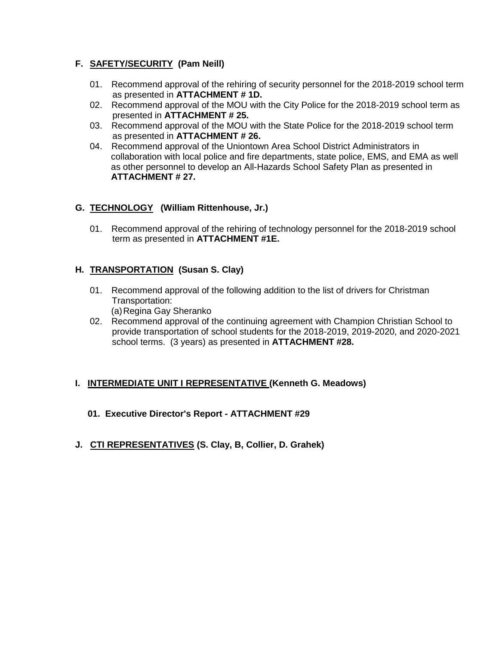# **F. SAFETY/SECURITY (Pam Neill)**

- 01. Recommend approval of the rehiring of security personnel for the 2018-2019 school term as presented in **ATTACHMENT # 1D.**
- 02. Recommend approval of the MOU with the City Police for the 2018-2019 school term as presented in **ATTACHMENT # 25.**
- 03. Recommend approval of the MOU with the State Police for the 2018-2019 school term as presented in **ATTACHMENT # 26.**
- 04. Recommend approval of the Uniontown Area School District Administrators in collaboration with local police and fire departments, state police, EMS, and EMA as well as other personnel to develop an All-Hazards School Safety Plan as presented in **ATTACHMENT # 27.**

## **G. TECHNOLOGY (William Rittenhouse, Jr.)**

01. Recommend approval of the rehiring of technology personnel for the 2018-2019 school term as presented in **ATTACHMENT #1E.**

## **H. TRANSPORTATION (Susan S. Clay)**

- 01. Recommend approval of the following addition to the list of drivers for Christman Transportation: (a)Regina Gay Sheranko
- 02. Recommend approval of the continuing agreement with Champion Christian School to provide transportation of school students for the 2018-2019, 2019-2020, and 2020-2021 school terms. (3 years) as presented in **ATTACHMENT #28.**

# **I. INTERMEDIATE UNIT I REPRESENTATIVE (Kenneth G. Meadows)**

- **01. Executive Director's Report - ATTACHMENT #29**
- **J. CTI REPRESENTATIVES (S. Clay, B, Collier, D. Grahek)**